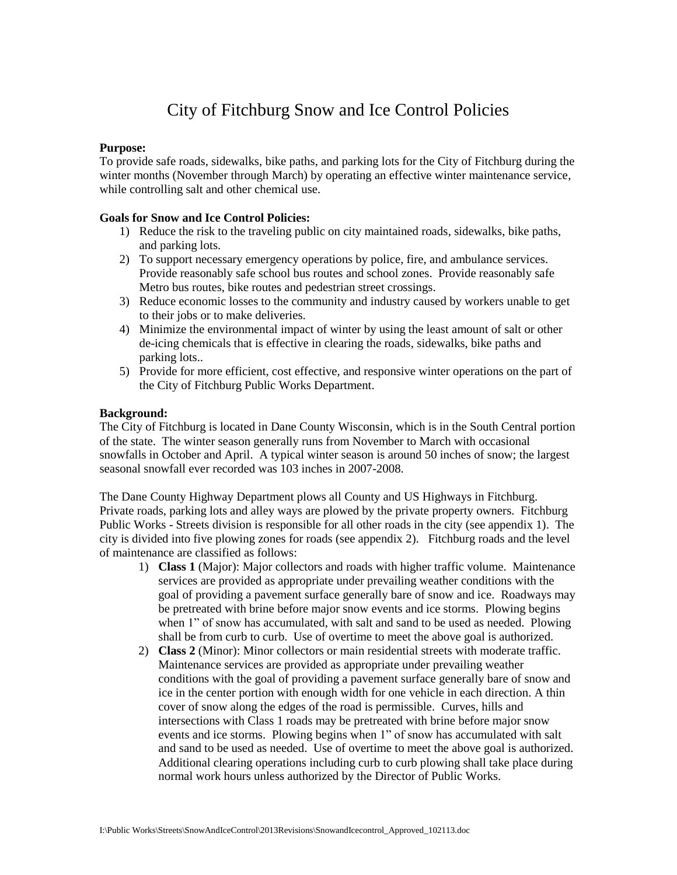## City of Fitchburg Snow and Ice Control Policies

## **Purpose:**

To provide safe roads, sidewalks, bike paths, and parking lots for the City of Fitchburg during the winter months (November through March) by operating an effective winter maintenance service, while controlling salt and other chemical use.

#### **Goals for Snow and Ice Control Policies:**

- 1) Reduce the risk to the traveling public on city maintained roads, sidewalks, bike paths, and parking lots.
- 2) To support necessary emergency operations by police, fire, and ambulance services. Provide reasonably safe school bus routes and school zones. Provide reasonably safe Metro bus routes, bike routes and pedestrian street crossings.
- 3) Reduce economic losses to the community and industry caused by workers unable to get to their jobs or to make deliveries.
- 4) Minimize the environmental impact of winter by using the least amount of salt or other de-icing chemicals that is effective in clearing the roads, sidewalks, bike paths and parking lots..
- 5) Provide for more efficient, cost effective, and responsive winter operations on the part of the City of Fitchburg Public Works Department.

### **Background:**

The City of Fitchburg is located in Dane County Wisconsin, which is in the South Central portion of the state. The winter season generally runs from November to March with occasional snowfalls in October and April. A typical winter season is around 50 inches of snow; the largest seasonal snowfall ever recorded was 103 inches in 2007-2008.

The Dane County Highway Department plows all County and US Highways in Fitchburg. Private roads, parking lots and alley ways are plowed by the private property owners. Fitchburg Public Works - Streets division is responsible for all other roads in the city (see appendix 1). The city is divided into five plowing zones for roads (see appendix 2). Fitchburg roads and the level of maintenance are classified as follows:

- 1) **Class 1** (Major): Major collectors and roads with higher traffic volume. Maintenance services are provided as appropriate under prevailing weather conditions with the goal of providing a pavement surface generally bare of snow and ice. Roadways may be pretreated with brine before major snow events and ice storms. Plowing begins when 1" of snow has accumulated, with salt and sand to be used as needed. Plowing shall be from curb to curb. Use of overtime to meet the above goal is authorized.
- 2) **Class 2** (Minor): Minor collectors or main residential streets with moderate traffic. Maintenance services are provided as appropriate under prevailing weather conditions with the goal of providing a pavement surface generally bare of snow and ice in the center portion with enough width for one vehicle in each direction. A thin cover of snow along the edges of the road is permissible. Curves, hills and intersections with Class 1 roads may be pretreated with brine before major snow events and ice storms. Plowing begins when 1" of snow has accumulated with salt and sand to be used as needed. Use of overtime to meet the above goal is authorized. Additional clearing operations including curb to curb plowing shall take place during normal work hours unless authorized by the Director of Public Works.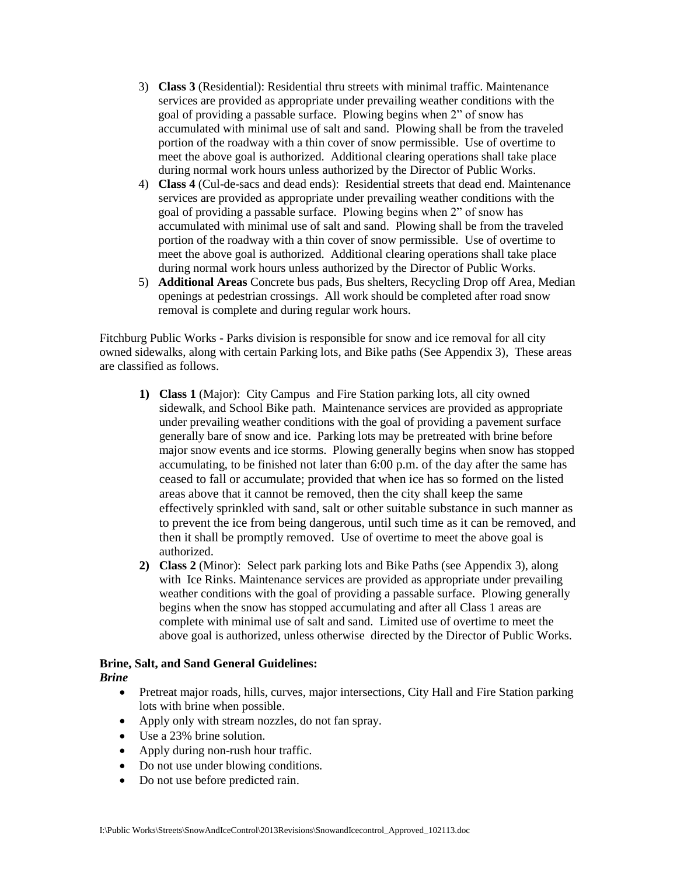- 3) **Class 3** (Residential): Residential thru streets with minimal traffic. Maintenance services are provided as appropriate under prevailing weather conditions with the goal of providing a passable surface. Plowing begins when 2" of snow has accumulated with minimal use of salt and sand. Plowing shall be from the traveled portion of the roadway with a thin cover of snow permissible. Use of overtime to meet the above goal is authorized. Additional clearing operations shall take place during normal work hours unless authorized by the Director of Public Works.
- 4) **Class 4** (Cul-de-sacs and dead ends): Residential streets that dead end. Maintenance services are provided as appropriate under prevailing weather conditions with the goal of providing a passable surface. Plowing begins when 2" of snow has accumulated with minimal use of salt and sand. Plowing shall be from the traveled portion of the roadway with a thin cover of snow permissible. Use of overtime to meet the above goal is authorized. Additional clearing operations shall take place during normal work hours unless authorized by the Director of Public Works.
- 5) **Additional Areas** Concrete bus pads, Bus shelters, Recycling Drop off Area, Median openings at pedestrian crossings. All work should be completed after road snow removal is complete and during regular work hours.

Fitchburg Public Works - Parks division is responsible for snow and ice removal for all city owned sidewalks, along with certain Parking lots, and Bike paths (See Appendix 3), These areas are classified as follows.

- **1) Class 1** (Major):City Campus and Fire Station parking lots, all city owned sidewalk, and School Bike path. Maintenance services are provided as appropriate under prevailing weather conditions with the goal of providing a pavement surface generally bare of snow and ice. Parking lots may be pretreated with brine before major snow events and ice storms. Plowing generally begins when snow has stopped accumulating, to be finished not later than 6:00 p.m. of the day after the same has ceased to fall or accumulate; provided that when ice has so formed on the listed areas above that it cannot be removed, then the city shall keep the same effectively sprinkled with sand, salt or other suitable substance in such manner as to prevent the ice from being dangerous, until such time as it can be removed, and then it shall be promptly removed. Use of overtime to meet the above goal is authorized.
- **2) Class 2** (Minor): Select park parking lots and Bike Paths (see Appendix 3), along with Ice Rinks. Maintenance services are provided as appropriate under prevailing weather conditions with the goal of providing a passable surface. Plowing generally begins when the snow has stopped accumulating and after all Class 1 areas are complete with minimal use of salt and sand. Limited use of overtime to meet the above goal is authorized, unless otherwise directed by the Director of Public Works.

## **Brine, Salt, and Sand General Guidelines:**

## *Brine*

- Pretreat major roads, hills, curves, major intersections, City Hall and Fire Station parking lots with brine when possible.
- Apply only with stream nozzles, do not fan spray.
- Use a 23% brine solution.
- Apply during non-rush hour traffic.
- Do not use under blowing conditions.
- Do not use before predicted rain.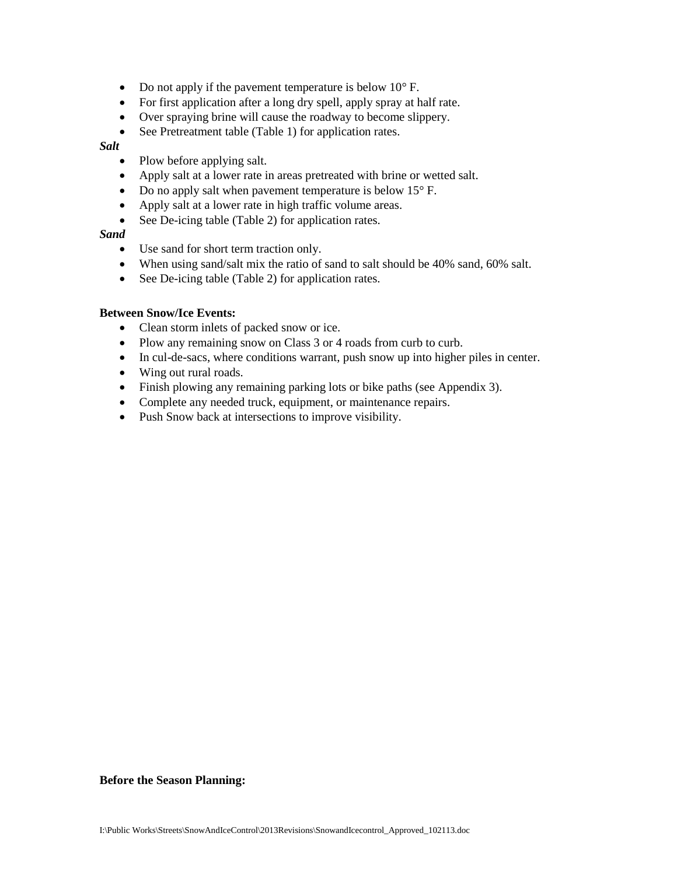- Do not apply if the pavement temperature is below 10°F.
- For first application after a long dry spell, apply spray at half rate.
- Over spraying brine will cause the roadway to become slippery.
- See Pretreatment table (Table 1) for application rates.

#### *Salt*

- Plow before applying salt.
- Apply salt at a lower rate in areas pretreated with brine or wetted salt.
- Do no apply salt when pavement temperature is below 15°F.
- Apply salt at a lower rate in high traffic volume areas.
- See De-icing table (Table 2) for application rates.

#### *Sand*

- Use sand for short term traction only.
- When using sand/salt mix the ratio of sand to salt should be 40% sand, 60% salt.
- See De-icing table (Table 2) for application rates.

#### **Between Snow/Ice Events:**

- Clean storm inlets of packed snow or ice.
- Plow any remaining snow on Class 3 or 4 roads from curb to curb.
- In cul-de-sacs, where conditions warrant, push snow up into higher piles in center.
- Wing out rural roads.
- Finish plowing any remaining parking lots or bike paths (see Appendix 3).
- Complete any needed truck, equipment, or maintenance repairs.
- Push Snow back at intersections to improve visibility.

#### **Before the Season Planning:**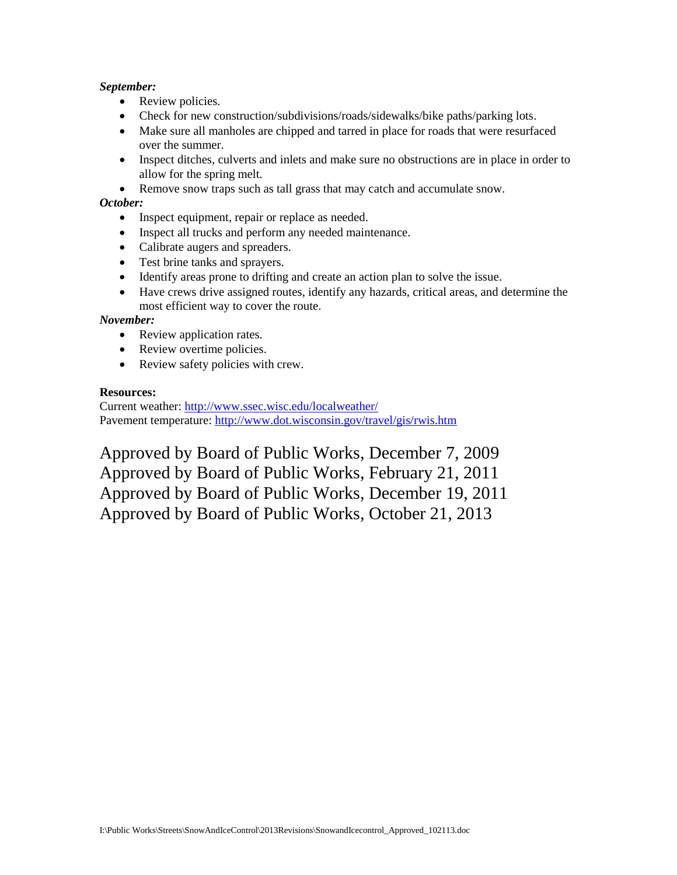## *September:*

- Review policies.
- Check for new construction/subdivisions/roads/sidewalks/bike paths/parking lots.
- Make sure all manholes are chipped and tarred in place for roads that were resurfaced over the summer.
- Inspect ditches, culverts and inlets and make sure no obstructions are in place in order to allow for the spring melt.
- Remove snow traps such as tall grass that may catch and accumulate snow.

## *October:*

- Inspect equipment, repair or replace as needed.
- Inspect all trucks and perform any needed maintenance.
- Calibrate augers and spreaders.
- Test brine tanks and sprayers.
- Identify areas prone to drifting and create an action plan to solve the issue.
- Have crews drive assigned routes, identify any hazards, critical areas, and determine the most efficient way to cover the route.

#### *November:*

- Review application rates.
- Review overtime policies.
- Review safety policies with crew.

### **Resources:**

Current weather:<http://www.ssec.wisc.edu/localweather/> Pavement temperature:<http://www.dot.wisconsin.gov/travel/gis/rwis.htm>

Approved by Board of Public Works, December 7, 2009 Approved by Board of Public Works, February 21, 2011 Approved by Board of Public Works, December 19, 2011 Approved by Board of Public Works, October 21, 2013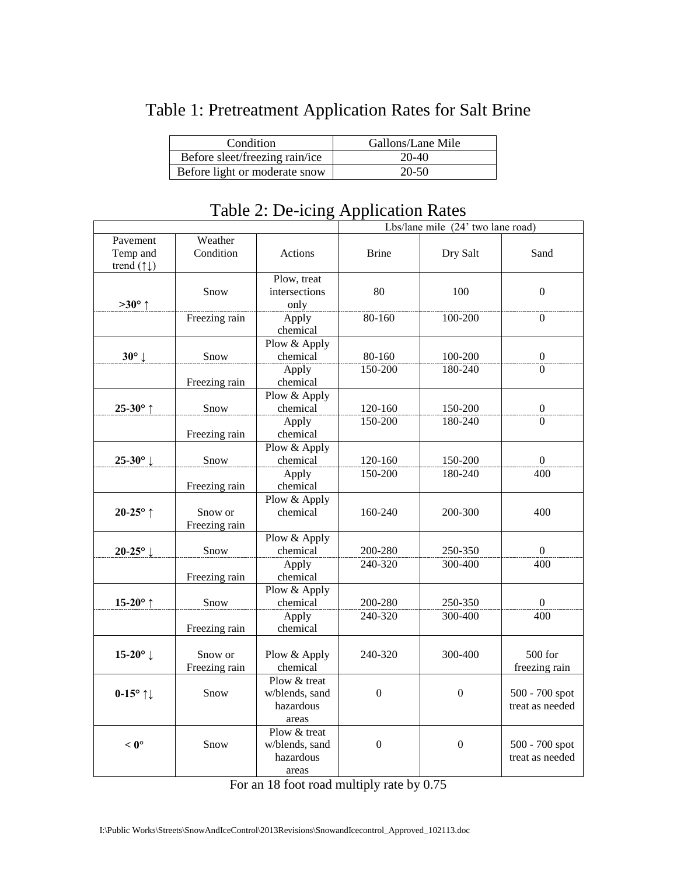| Condition                      | Gallons/Lane Mile |
|--------------------------------|-------------------|
| Before sleet/freezing rain/ice | 20-40             |
| Before light or moderate snow  | $20 - 50$         |

# Table 1: Pretreatment Application Rates for Salt Brine

|                                     |               |                          | Lbs/lane mile (24' two lane road) |                  |                  |
|-------------------------------------|---------------|--------------------------|-----------------------------------|------------------|------------------|
| Pavement                            | Weather       |                          |                                   |                  |                  |
| Temp and                            | Condition     | Actions                  | <b>Brine</b>                      | Dry Salt         | Sand             |
| trend $( \uparrow \downarrow )$     |               |                          |                                   |                  |                  |
|                                     |               | Plow, treat              |                                   |                  |                  |
|                                     | Snow          | intersections            | 80                                | 100              | $\theta$         |
| $>30^{\circ}$ ↑                     |               | only                     |                                   |                  |                  |
|                                     | Freezing rain | Apply<br>chemical        | 80-160                            | 100-200          | $\mathbf{0}$     |
|                                     |               | Plow & Apply             |                                   |                  |                  |
| $30^\circ$ $\downarrow$             | Snow          | chemical                 | 80-160                            | 100-200          | $\boldsymbol{0}$ |
|                                     |               | Apply                    | 150-200                           | 180-240          | $\Omega$         |
|                                     | Freezing rain | chemical                 |                                   |                  |                  |
|                                     |               | Plow & Apply             |                                   |                  |                  |
| 25-30 $^{\circ}$ ↑                  | Snow          | chemical                 | 120-160                           | 150-200          | $\boldsymbol{0}$ |
|                                     |               | Apply                    | 150-200                           | 180-240          | $\Omega$         |
|                                     | Freezing rain | chemical                 |                                   |                  |                  |
|                                     |               | Plow & Apply             |                                   |                  |                  |
| 25-30 $^{\circ}$ $\downarrow$       | Snow          | chemical                 | 120-160                           | 150-200          | $\boldsymbol{0}$ |
|                                     |               | Apply                    | 150-200                           | 180-240          | 400              |
|                                     | Freezing rain | chemical                 |                                   |                  |                  |
|                                     |               | Plow & Apply             |                                   |                  |                  |
| $20-25^\circ$ ↑                     | Snow or       | chemical                 | 160-240                           | 200-300          | 400              |
|                                     | Freezing rain |                          |                                   |                  |                  |
|                                     |               | Plow & Apply             |                                   |                  |                  |
| 20-25 $^{\circ}$ $\downarrow$       | Snow          | chemical                 | 200-280                           | 250-350          | $\boldsymbol{0}$ |
|                                     |               | Apply                    | 240-320                           | 300-400          | 400              |
|                                     | Freezing rain | chemical                 |                                   |                  |                  |
|                                     |               | Plow & Apply             |                                   |                  |                  |
| 15-20 $^{\circ}$ ↑                  | Snow          | chemical                 | 200-280                           | 250-350          | $\boldsymbol{0}$ |
|                                     |               | Apply                    | 240-320                           | 300-400          | 400              |
|                                     | Freezing rain | chemical                 |                                   |                  |                  |
|                                     |               |                          |                                   |                  |                  |
| 15-20 $^{\circ}$ $\downarrow$       | Snow or       | Plow & Apply             | 240-320                           | 300-400          | 500 for          |
|                                     | Freezing rain | chemical<br>Plow & treat |                                   |                  | freezing rain    |
| $0-15^{\circ}$ $\uparrow\downarrow$ | Snow          | w/blends, sand           | $\overline{0}$                    | $\mathbf{0}$     | 500 - 700 spot   |
|                                     |               | hazardous                |                                   |                  | treat as needed  |
|                                     |               | areas                    |                                   |                  |                  |
|                                     |               | Plow & treat             |                                   |                  |                  |
| $< 0^{\circ}$                       | Snow          | w/blends, sand           | $\overline{0}$                    | $\boldsymbol{0}$ | 500 - 700 spot   |
|                                     |               | hazardous                |                                   |                  | treat as needed  |
|                                     |               | areas                    |                                   |                  |                  |

## Table 2: De-icing Application Rates

For an 18 foot road multiply rate by 0.75